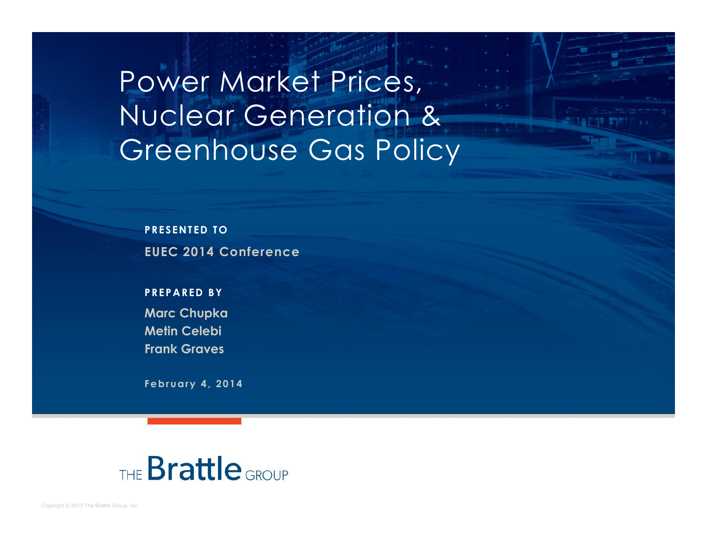Power Market Prices, Nuclear Generation & Greenhouse Gas Policy

**PRESENTED TO EUEC 2014 Conference**

**PREPARED BY Marc Chupka Metin Celebi Frank Graves**

**February 4, 2014**

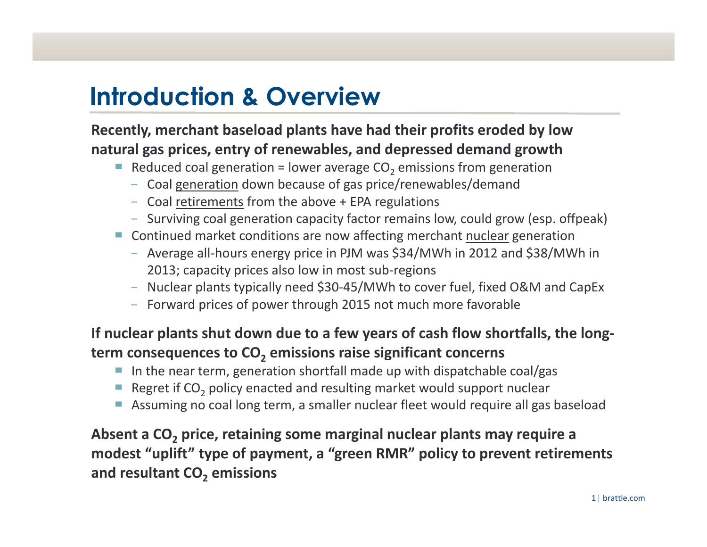# **Introduction & Overview**

#### **Recently, merchant baseload plants have had their profits eroded by low natural gas prices, entry of renewables, and depressed demand growth**

- $\blacksquare$  Reduced coal generation = lower average CO<sub>2</sub> emissions from generation
	- Coal generation down because of gas price/renewables/demand
	- Coal retirements from the above + EPA regulations
	- Surviving coal generation capacity factor remains low, could grow (esp. offpeak)
- Continued market conditions are now affecting merchant nuclear generation
	- Average all-hours energy price in PJM was \$34/MWh in 2012 and \$38/MWh in 2013; capacity prices also low in most sub-regions
	- Nuclear plants typically need \$30-45/MWh to cover fuel, fixed O&M and CapEx
	- Forward prices of power through 2015 not much more favorable

#### **lf** nuclear plants shut down due to a few years of cash flow shortfalls, the long**term consequences to CO <sup>2</sup> emissions raise significant concerns**

- $\blacksquare$  In the near term, generation shortfall made up with dispatchable coal/gas
- Regret if  $CO<sub>2</sub>$  policy enacted and resulting market would support nuclear
- **Assuming no coal long term, a smaller nuclear fleet would require all gas baseload**

#### **Absent a CO <sup>2</sup> price, retaining some marginal nuclear plants may require a modest >uplift? type of payment, a >green RMR? policy to prevent retirements and resultant CO <sup>2</sup> emissions**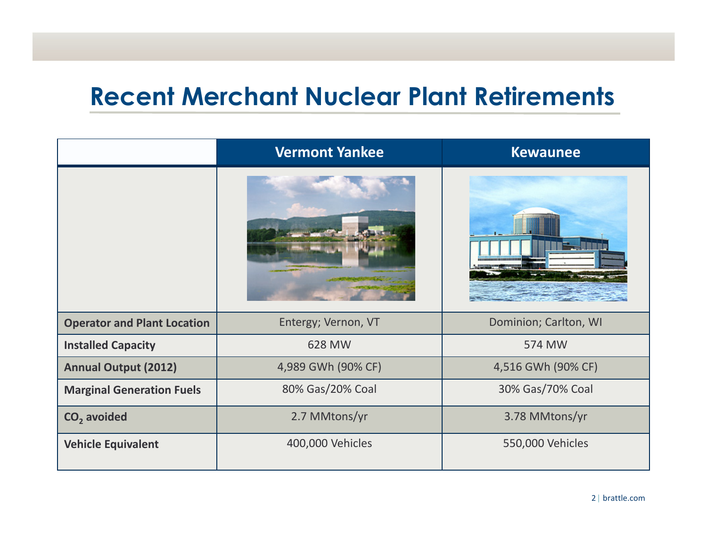## **Recent Merchant Nuclear Plant Retirements**

|                                    | <b>Vermont Yankee</b> | <b>Kewaunee</b>       |
|------------------------------------|-----------------------|-----------------------|
|                                    |                       |                       |
| <b>Operator and Plant Location</b> | Entergy; Vernon, VT   | Dominion; Carlton, WI |
| <b>Installed Capacity</b>          | 628 MW                | 574 MW                |
| <b>Annual Output (2012)</b>        | 4,989 GWh (90% CF)    | 4,516 GWh (90% CF)    |
| <b>Marginal Generation Fuels</b>   | 80% Gas/20% Coal      | 30% Gas/70% Coal      |
| CO <sub>2</sub> avoided            | 2.7 MMtons/yr         | 3.78 MMtons/yr        |
| <b>Vehicle Equivalent</b>          | 400,000 Vehicles      | 550,000 Vehicles      |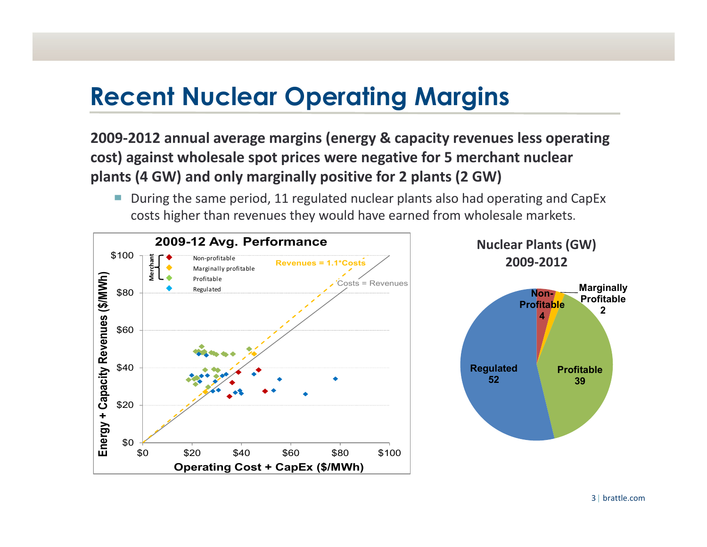# **Recent Nuclear Operating Margins**

**2009Ͳ2012 annual average margins (energy & capacity revenues less operating cost) against wholesale spot prices were negative for 5 merchant nuclear plants (4 GW) and only marginally positive for 2 plants (2 GW)**

■ During the same period, 11 regulated nuclear plants also had operating and CapEx costs higher than revenues they would have earned from wholesale markets.

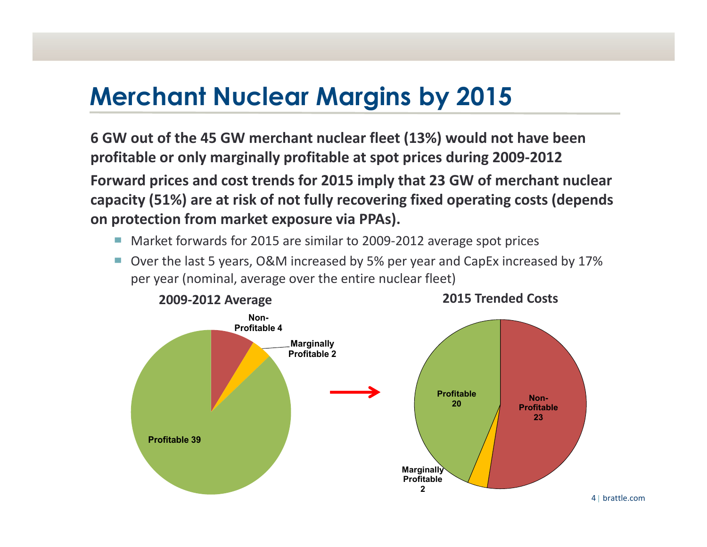# **Merchant Nuclear Margins by 2015**

**6 GW out of the 45 GW merchant nuclear fleet (13%) would not have been profitable** or only marginally profitable at spot prices during 2009-2012 **Forward prices and cost trends for 2015 imply that 23 GW of merchant nuclear capacity (51%) are at risk of not fully recovering fixed operating costs (depends on protection from market exposure via PPAs).**

- Market forwards for 2015 are similar to 2009-2012 average spot prices
- Over the last 5 years, O&M increased by 5% per year and CapEx increased by 17% per year (nominal, average over the entire nuclear fleet)



**2015 Trended Costs**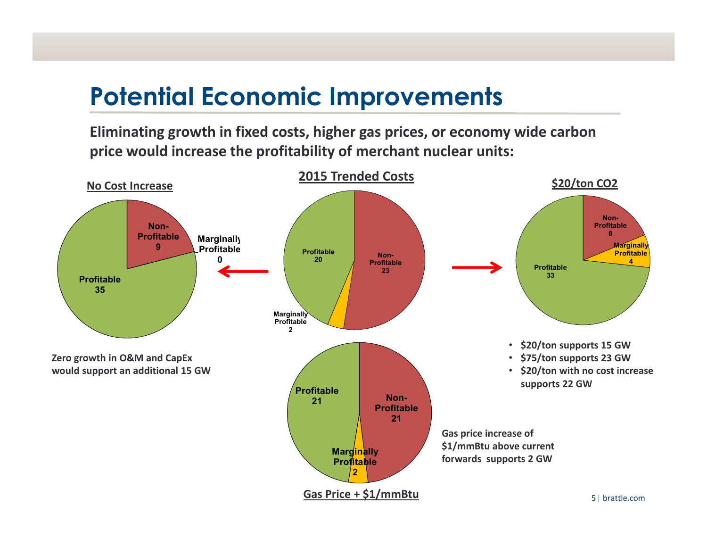## **Potential Economic Improvements**

**Eliminating growth in fixed costs, higher gas prices, or economy wide carbon price would increase the profitability of merchant nuclear units:**

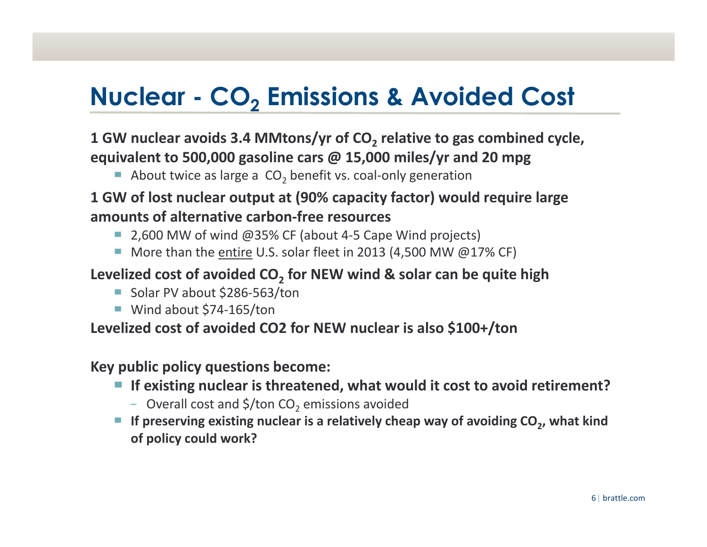# **Nuclear - CO<sub>2</sub> Emissions & Avoided Cost**

#### **1** GW nuclear avoids 3.4 MMtons/yr of CO<sub>2</sub> relative to gas combined cycle, **equivalent to 500,000 gasoline cars @ 15,000 miles/yr and 20 mpg**

About twice as large a  $CO<sub>2</sub>$  benefit vs. coal-only generation

#### **1 GW of lost nuclear output at (90% capacity factor) would require large amounts of alternative carbonͲfree resources**

- 2,600 MW of wind @35% CF (about 4-5 Cape Wind projects)
- More than the entire U.S. solar fleet in 2013 (4,500 MW  $@17%$  CF)

#### **Levelized cost of avoided CO2 for NEW wind & solar can be quite high**

- Solar PV about \$286-563/ton
- Wind about \$74-165/ton

#### **Levelized cost of avoided CO2 for NEW nuclear is also \$100+/ton**

#### **Key public policy questions become:**

- If existing nuclear is threatened, what would it cost to avoid retirement?
	- Overall cost and  $\frac{\epsilon}{2}$  ton CO<sub>2</sub> emissions avoided
- <sup>Ů</sup> **If preserving existing nuclear is a relatively cheap way of avoiding CO2, what kind of policy could work?**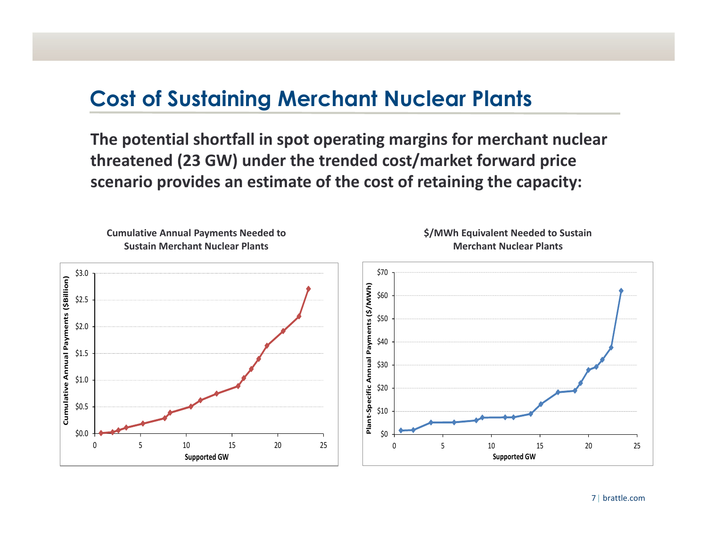### **Cost of Sustaining Merchant Nuclear Plants**

**The potential shortfall in spot operating margins for merchant nuclear threatened (23 GW) under the trended cost/market forward price scenario provides an estimate of the cost of retaining the capacity:**

**Cumulative Annual Payments Needed to Sustain Merchant Nuclear Plants**





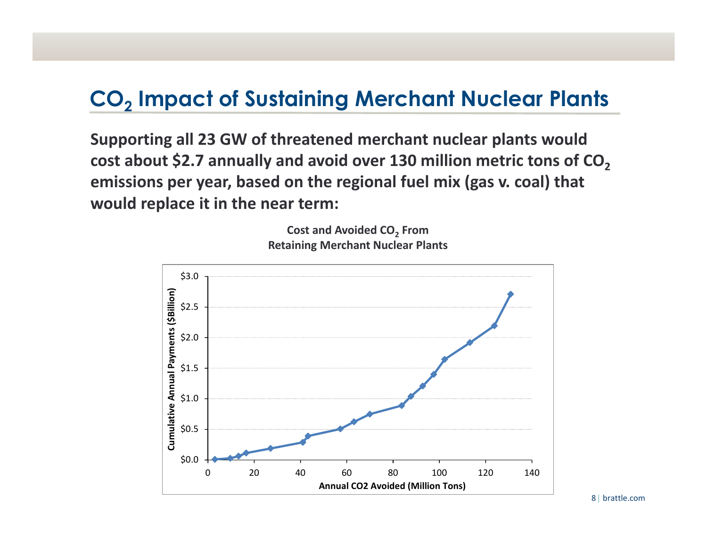## **CO<sub>2</sub> Impact of Sustaining Merchant Nuclear Plants**

**Supporting all 23 GW of threatened merchant nuclear plants would cost about \$2.7 annually and avoid over 130 million metric tons of CO2 emissions per year, based on the regional fuel mix (gas v. coal) that would replace it in the near term:**





8| brattle.com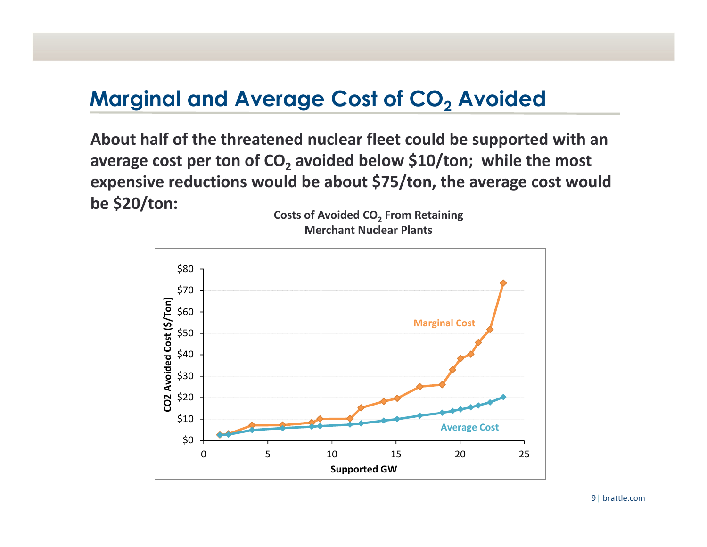### **Marginal and Average Cost of CO<sub>2</sub> Avoided**

**About half of the threatened nuclear fleet could be supported with an average** cost per ton of  $CO<sub>2</sub>$  avoided below \$10/ton; while the most **expensive reductions would be about \$75/ton, the average cost would be \$20/ton: Costs of Avoided CO2 From Retaining**

**Merchant Nuclear Plants**

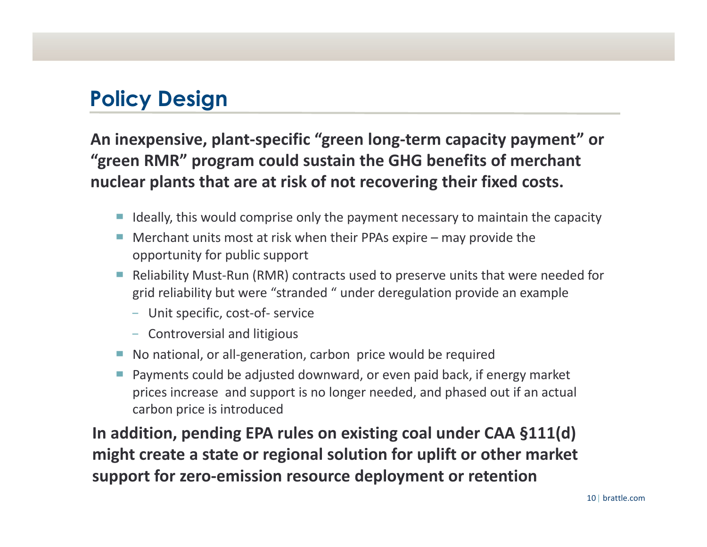## **Policy Design**

**An** inexpensive, plant-specific "green long-term capacity payment" or **>green RMR? program could sustain the GHG benefits of merchant nuclear plants that are at risk of not recovering their fixed costs.**

- $\blacksquare$  Ideally, this would comprise only the payment necessary to maintain the capacity
- Merchant units most at risk when their PPAs expire  $-$  may provide the opportunity for public support
- Reliability Must-Run (RMR) contracts used to preserve units that were needed for grid reliability but were "stranded " under deregulation provide an example
	- Unit specific, cost-of- service
	- Controversial and litigious
- No national, or all-generation, carbon price would be required
- $\blacksquare$  Payments could be adjusted downward, or even paid back, if energy market prices increase and support is no longer needed, and phased out if an actual carbon price is introduced

**In addition, pending EPA rules on existing coal under CAA §111(d) might create a state or regional solution for uplift or other market** *support* **for zero-emission resource deployment or retention**